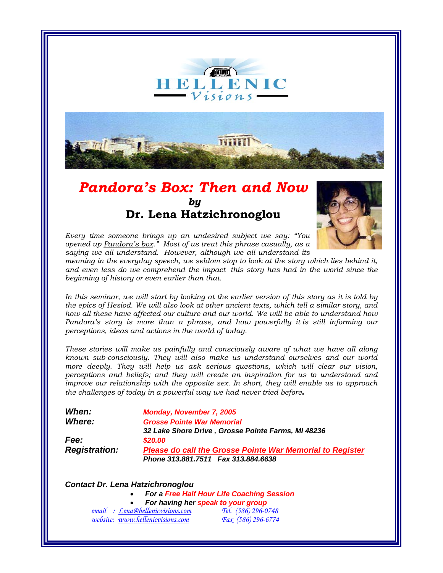

## *Pandora's Box: Then and Now by*   **Dr. Lena Hatzichronoglou**



*Every time someone brings up an undesired subject we say: "You opened up Pandora's box." Most of us treat this phrase casually, as a saying we all understand. However, although we all understand its*

*meaning in the everyday speech, we seldom stop to look at the story which lies behind it, and even less do we comprehend the impact this story has had in the world since the beginning of history or even earlier than that.* 

*In this seminar, we will start by looking at the earlier version of this story as it is told by the epics of Hesiod. We will also look at other ancient texts, which tell a similar story, and how all these have affected our culture and our world. We will be able to understand how Pandora's story is more than a phrase, and how powerfully it is still informing our perceptions, ideas and actions in the world of today.* 

*These stories will make us painfully and consciously aware of what we have all along known sub-consciously. They will also make us understand ourselves and our world more deeply. They will help us ask serious questions, which will clear our vision, perceptions and beliefs; and they will create an inspiration for us to understand and improve our relationship with the opposite sex. In short, they will enable us to approach the challenges of today in a powerful way we had never tried before.* 

| <b>Monday, November 7, 2005</b>                                  |
|------------------------------------------------------------------|
| <b>Grosse Pointe War Memorial</b>                                |
| 32 Lake Shore Drive, Grosse Pointe Farms, MI 48236               |
| \$20.00                                                          |
| <b>Please do call the Grosse Pointe War Memorial to Register</b> |
| Phone 313.881.7511 Fax 313.884.6638                              |
|                                                                  |

## *Contact Dr. Lena Hatzichronoglou*

• *For a Free Half Hour Life Coaching Session* • *For having her speak to your group*

| email : Lena@hellenicvisions.com | Tel. (586) 296-0748       |
|----------------------------------|---------------------------|
| website: www.hellenicvisions.com | <i>Fax</i> (586) 296-6774 |